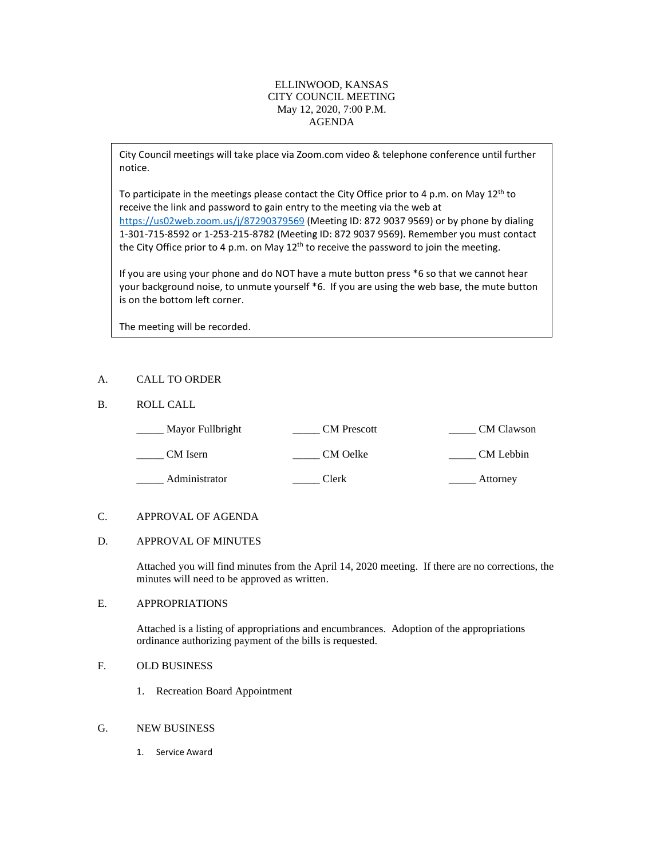## ELLINWOOD, KANSAS CITY COUNCIL MEETING May 12, 2020, 7:00 P.M. AGENDA

City Council meetings will take place via Zoom.com video & telephone conference until further notice.

To participate in the meetings please contact the City Office prior to 4 p.m. on May  $12^{th}$  to receive the link and password to gain entry to the meeting via the web at <https://us02web.zoom.us/j/87290379569> (Meeting ID: 872 9037 9569) or by phone by dialing 1-301-715-8592 or 1-253-215-8782 (Meeting ID: 872 9037 9569). Remember you must contact the City Office prior to 4 p.m. on May  $12<sup>th</sup>$  to receive the password to join the meeting.

If you are using your phone and do NOT have a mute button press \*6 so that we cannot hear your background noise, to unmute yourself \*6. If you are using the web base, the mute button is on the bottom left corner.

The meeting will be recorded.

## A. CALL TO ORDER

### B. ROLL CALL

| Mayor Fullbright | <b>CM</b> Prescott | <b>CM</b> Clawson |
|------------------|--------------------|-------------------|
| CM Isern         | CM Oelke           | CM Lebbin         |
| Administrator    | Clerk              | Attorney          |

### C. APPROVAL OF AGENDA

#### D. APPROVAL OF MINUTES

Attached you will find minutes from the April 14, 2020 meeting. If there are no corrections, the minutes will need to be approved as written.

### E. APPROPRIATIONS

Attached is a listing of appropriations and encumbrances. Adoption of the appropriations ordinance authorizing payment of the bills is requested.

## F. OLD BUSINESS

- 1. Recreation Board Appointment
- G. NEW BUSINESS
	- 1. Service Award